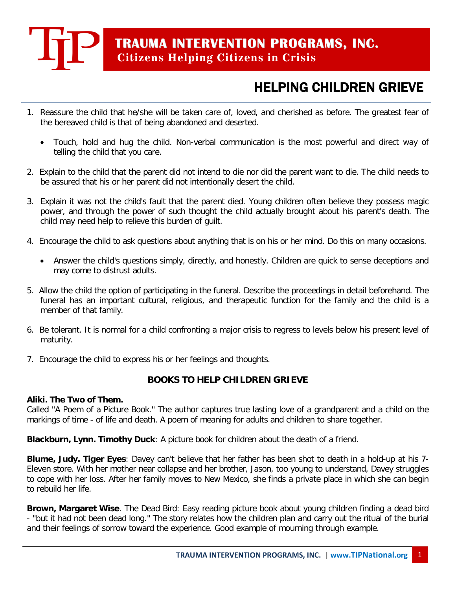

### HELPING CHILDREN GRIEVE

- 1. Reassure the child that he/she will be taken care of, loved, and cherished as before. The greatest fear of the bereaved child is that of being abandoned and deserted.
	- Touch, hold and hug the child. Non-verbal communication is the most powerful and direct way of telling the child that you care.
- 2. Explain to the child that the parent did not intend to die nor did the parent want to die. The child needs to be assured that his or her parent did not intentionally desert the child.
- 3. Explain it was not the child's fault that the parent died. Young children often believe they possess magic power, and through the power of such thought the child actually brought about his parent's death. The child may need help to relieve this burden of guilt.
- 4. Encourage the child to ask questions about anything that is on his or her mind. Do this on many occasions.
	- Answer the child's questions simply, directly, and honestly. Children are quick to sense deceptions and may come to distrust adults.
- 5. Allow the child the option of participating in the funeral. Describe the proceedings in detail beforehand. The funeral has an important cultural, religious, and therapeutic function for the family and the child is a member of that family.
- 6. Be tolerant. It is normal for a child confronting a major crisis to regress to levels below his present level of maturity.
- 7. Encourage the child to express his or her feelings and thoughts.

#### **BOOKS TO HELP CHILDREN GRIEVE**

#### **Aliki. The Two of Them.**

Called "A Poem of a Picture Book." The author captures true lasting love of a grandparent and a child on the markings of time - of life and death. A poem of meaning for adults and children to share together.

**Blackburn, Lynn. Timothy Duck**: A picture book for children about the death of a friend.

**Blume, Judy. Tiger Eyes**: Davey can't believe that her father has been shot to death in a hold-up at his 7- Eleven store. With her mother near collapse and her brother, Jason, too young to understand, Davey struggles to cope with her loss. After her family moves to New Mexico, she finds a private place in which she can begin to rebuild her life.

**Brown, Margaret Wise**. The Dead Bird: Easy reading picture book about young children finding a dead bird - "but it had not been dead long." The story relates how the children plan and carry out the ritual of the burial and their feelings of sorrow toward the experience. Good example of mourning through example.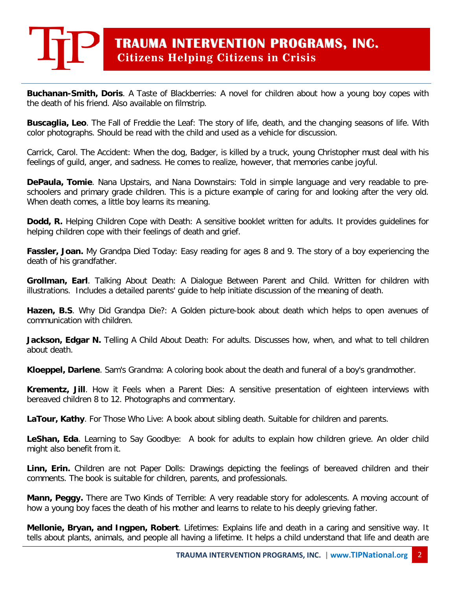## **TRAUMA INTERVENTION PROGRAMS, INC. Citizens Helping Citizens in Crisis**

**Buchanan-Smith, Doris**. A Taste of Blackberries: A novel for children about how a young boy copes with the death of his friend. Also available on filmstrip.

**Buscaglia, Leo**. The Fall of Freddie the Leaf: The story of life, death, and the changing seasons of life. With color photographs. Should be read with the child and used as a vehicle for discussion.

Carrick, Carol. The Accident: When the dog, Badger, is killed by a truck, young Christopher must deal with his feelings of guild, anger, and sadness. He comes to realize, however, that memories canbe joyful.

**DePaula, Tomie**. Nana Upstairs, and Nana Downstairs: Told in simple language and very readable to preschoolers and primary grade children. This is a picture example of caring for and looking after the very old. When death comes, a little boy learns its meaning.

**Dodd, R.** Helping Children Cope with Death: A sensitive booklet written for adults. It provides guidelines for helping children cope with their feelings of death and grief.

**Fassler, Joan.** My Grandpa Died Today: Easy reading for ages 8 and 9. The story of a boy experiencing the death of his grandfather.

**Grollman, Earl**. Talking About Death: A Dialogue Between Parent and Child. Written for children with illustrations. Includes a detailed parents' guide to help initiate discussion of the meaning of death.

**Hazen, B.S**. Why Did Grandpa Die?: A Golden picture-book about death which helps to open avenues of communication with children.

**Jackson, Edgar N.** Telling A Child About Death: For adults. Discusses how, when, and what to tell children about death.

**Kloeppel, Darlene**. Sam's Grandma: A coloring book about the death and funeral of a boy's grandmother.

**Krementz, Jill**. How it Feels when a Parent Dies: A sensitive presentation of eighteen interviews with bereaved children 8 to 12. Photographs and commentary.

**LaTour, Kathy**. For Those Who Live: A book about sibling death. Suitable for children and parents.

**LeShan, Eda**. Learning to Say Goodbye: A book for adults to explain how children grieve. An older child might also benefit from it.

**Linn, Erin.** Children are not Paper Dolls: Drawings depicting the feelings of bereaved children and their comments. The book is suitable for children, parents, and professionals.

**Mann, Peggy.** There are Two Kinds of Terrible: A very readable story for adolescents. A moving account of how a young boy faces the death of his mother and learns to relate to his deeply grieving father.

**Mellonie, Bryan, and Ingpen, Robert**. Lifetimes: Explains life and death in a caring and sensitive way. It tells about plants, animals, and people all having a lifetime. It helps a child understand that life and death are